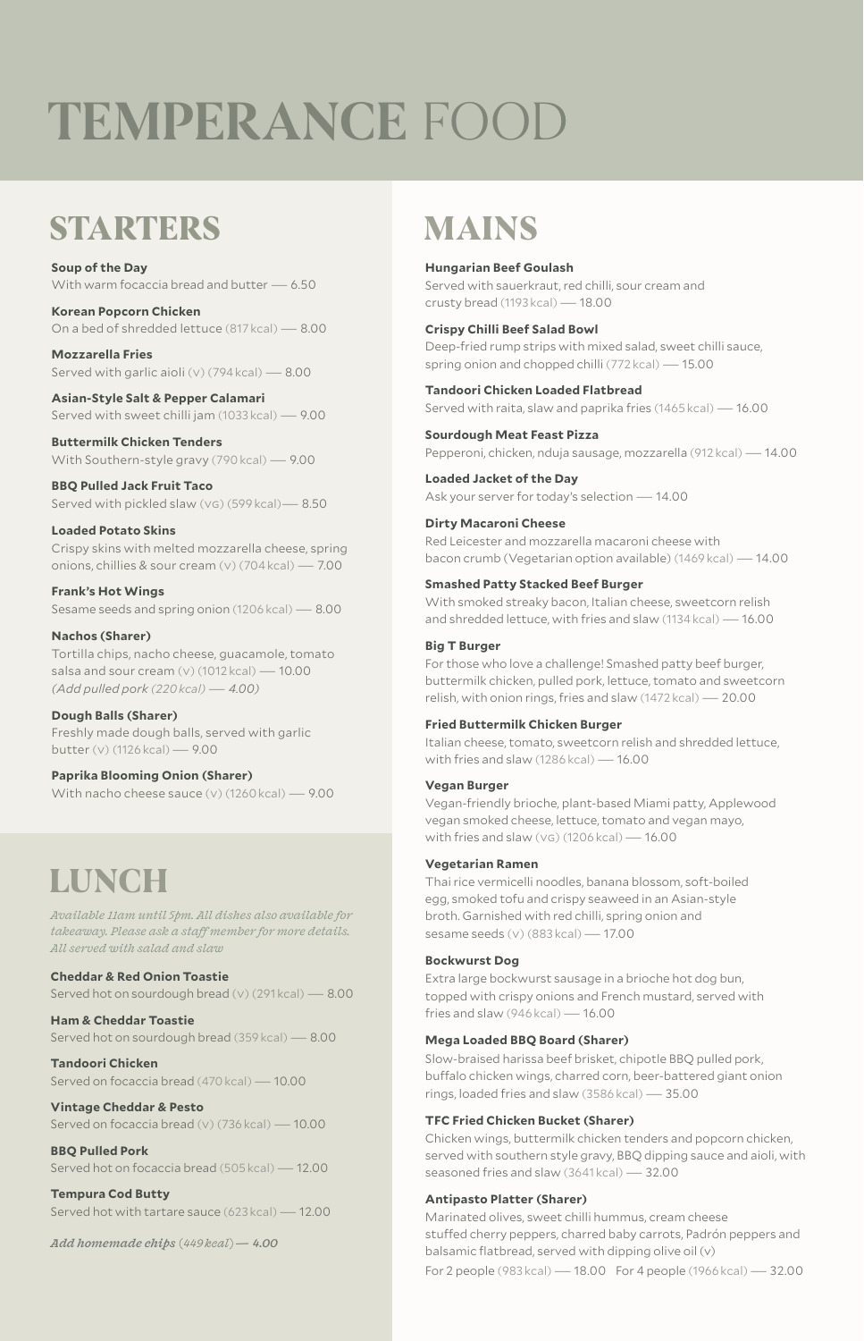# **TEMPERANCE** FOOD

### **STARTERS**

**Soup of the Day** With warm focaccia bread and butter — 6.50

**Korean Popcorn Chicken** On a bed of shredded lettuce (817 kcal)— 8.00

**Mozzarella Fries** Served with garlic aioli (v) (794 $kcal$ ) — 8.00

**Asian-Style Salt & Pepper Calamari** Served with sweet chilli jam (1033 kcal)— 9.00

**Buttermilk Chicken Tenders** With Southern-style gravy (790 kcal) - 9.00

**BBQ Pulled Jack Fruit Taco** Served with pickled slaw (vg) (599 kcal)— 8.50

#### **Loaded Potato Skins**

Crispy skins with melted mozzarella cheese, spring onions, chillies & sour cream (v) (704 kcal)— 7.00

**Frank's Hot Wings** Sesame seeds and spring onion (1206 kcal) — 8.00

#### **Nachos (Sharer)**

Tortilla chips, nacho cheese, guacamole, tomato salsa and sour cream (v) (1012 kcal) - 10.00 *(Add pulled pork (220 kcal)*—*4.00)*

**Dough Balls (Sharer)** Freshly made dough balls, served with garlic butter (v) (1126 kcal) — 9.00

#### **Paprika Blooming Onion (Sharer)**

With nacho cheese sauce (v) (1260 kcal)— 9.00

### **LUNCH**

*Available 11am until 5pm. All dishes also available for takeaway. Please ask a staff member for more details. All served with salad and slaw*

#### **Cheddar & Red Onion Toastie**

Served hot on sourdough bread (v) (291 kcal)— 8.00

**Ham & Cheddar Toastie** Served hot on sourdough bread (359 kcal)— 8.00

**Tandoori Chicken** Served on focaccia bread (470 kcal) — 10.00

#### **Vintage Cheddar & Pesto** Served on focaccia bread (v) (736 kcal)— 10.00

**BBQ Pulled Pork** Served hot on focaccia bread (505 kcal)— 12.00

**Tempura Cod Butty** Served hot with tartare sauce (623 kcal)— 12.00

*Add homemade chips (449 kcal)— 4.00*

# **MAINS**

**Hungarian Beef Goulash** Served with sauerkraut, red chilli, sour cream and crusty bread (1193 kcal)— 18.00

**Crispy Chilli Beef Salad Bowl**

Deep-fried rump strips with mixed salad, sweet chilli sauce, spring onion and chopped chilli (772 kcal) - 15.00

**Tandoori Chicken Loaded Flatbread** Served with raita, slaw and paprika fries (1465 kcal) — 16.00

**Sourdough Meat Feast Pizza** Pepperoni, chicken, nduja sausage, mozzarella (912 kcal)— 14.00

**Loaded Jacket of the Day** Ask your server for today's selection — 14.00

**Dirty Macaroni Cheese** Red Leicester and mozzarella macaroni cheese with bacon crumb (Vegetarian option available) (1469 kcal)— 14.00

#### **Smashed Patty Stacked Beef Burger**

With smoked streaky bacon, Italian cheese, sweetcorn relish and shredded lettuce, with fries and slaw (1134 kcal)— 16.00

#### **Big T Burger**

For those who love a challenge! Smashed patty beef burger, buttermilk chicken, pulled pork, lettuce, tomato and sweetcorn relish, with onion rings, fries and slaw (1472 kcal)— 20.00

#### **Fried Buttermilk Chicken Burger**

Italian cheese, tomato, sweetcorn relish and shredded lettuce, with fries and slaw (1286 kcal)— 16.00

#### **Vegan Burger**

Vegan-friendly brioche, plant-based Miami patty, Applewood vegan smoked cheese, lettuce, tomato and vegan mayo, with fries and slaw (vg) (1206 kcal) — 16.00

#### **Vegetarian Ramen**

Thai rice vermicelli noodles, banana blossom, soft-boiled egg, smoked tofu and crispy seaweed in an Asian-style broth. Garnished with red chilli, spring onion and sesame seeds (v) (883 kcal) — 17.00

#### **Bockwurst Dog**

Extra large bockwurst sausage in a brioche hot dog bun, topped with crispy onions and French mustard, served with fries and slaw (946 kcal)— 16.00

#### **Mega Loaded BBQ Board (Sharer)**

Slow-braised harissa beef brisket, chipotle BBQ pulled pork, buffalo chicken wings, charred corn, beer-battered giant onion rings, loaded fries and slaw (3586 kcal)— 35.00

#### **TFC Fried Chicken Bucket (Sharer)**

Chicken wings, buttermilk chicken tenders and popcorn chicken, served with southern style gravy, BBQ dipping sauce and aioli, with seasoned fries and slaw (3641 kcal) - 32.00

#### **Antipasto Platter (Sharer)**

Marinated olives, sweet chilli hummus, cream cheese stuffed cherry peppers, charred baby carrots, Padrón peppers and balsamic flatbread, served with dipping olive oil (v) For 2 people (983 kcal)— 18.00 For 4 people (1966 kcal)— 32.00